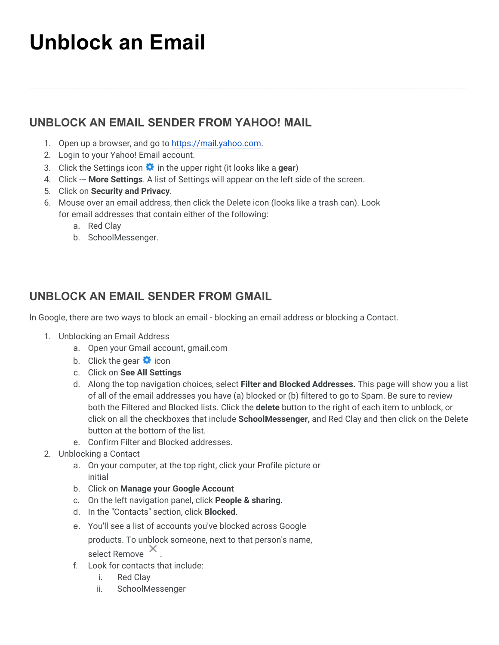## **Unblock an Email**

## **UNBLOCK AN EMAIL SENDER FROM YAHOO! MAIL**

- 1. Open up a browser, and go to [https://mail.yahoo.com](https://mail.yahoo.com/).
- 2. Login to your Yahoo! Email account.
- 3. Click the Settings icon  $\bullet$  in the upper right (it looks like a **gear**)
- 4. Click --- **More Settings**. A list of Settings will appear on the left side of the screen.
- 5. Click on **Security and Privacy**.
- 6. Mouse over an email address, then click the Delete icon (looks like a trash can). Look for email addresses that contain either of the following:

\_\_\_\_\_\_\_\_\_\_\_\_\_\_\_\_\_\_\_\_\_\_\_\_\_\_\_\_\_\_\_\_\_\_\_\_\_\_\_\_\_\_\_\_\_\_\_\_\_\_\_\_\_\_\_\_\_\_\_\_\_\_\_\_\_\_\_\_\_\_\_\_\_\_\_\_\_\_\_\_\_\_\_\_\_\_\_\_\_\_\_\_\_\_\_\_\_\_\_\_\_\_\_\_\_\_\_\_\_\_\_\_\_\_\_\_\_\_\_\_\_\_\_\_\_\_\_\_\_\_\_\_\_\_\_\_\_\_\_\_\_\_\_\_\_\_\_\_\_

- a. Red Clay
- b. SchoolMessenger.

## **UNBLOCK AN EMAIL SENDER FROM GMAIL**

In Google, there are two ways to block an email - blocking an email address or blocking a Contact.

- 1. Unblocking an Email Address
	- a. Open your Gmail account, gmail.com
	- b. Click the gear  $\bullet$  icon
	- c. Click on **See All Settings**
	- d. Along the top navigation choices, select **Filter and Blocked Addresses.** This page will show you a list of all of the email addresses you have (a) blocked or (b) filtered to go to Spam. Be sure to review both the Filtered and Blocked lists. Click the **delete** button to the right of each item to unblock, or click on all the checkboxes that include **SchoolMessenger,** and Red Clay and then click on the Delete button at the bottom of the list.
	- e. Confirm Filter and Blocked addresses.
- 2. Unblocking a Contact
	- a. On your computer, at the top right, click your Profile picture or initial
	- b. Click on **Manage your Google Account**
	- c. On the left navigation panel, click **People & sharing**.
	- d. In the "Contacts"section, click **Blocked**.
	- e. You'll see a list of accounts you've blocked across Google products. To unblock someone, next to that person's name, select Remove  $\times$
	- f. Look for contacts that include:
		- i. Red Clay
		- ii. SchoolMessenger